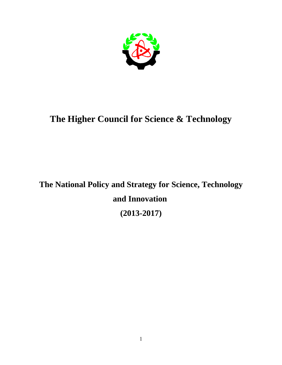

## **The Higher Council for Science & Technology**

**The National Policy and Strategy for Science, Technology and Innovation (2013-2017)**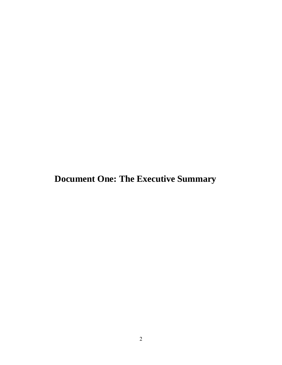**Document One: The Executive Summary**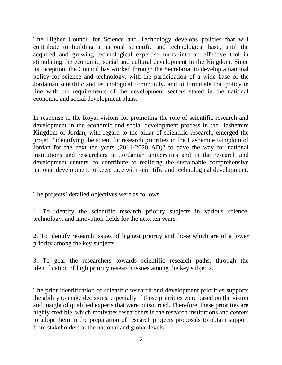The Higher Council for Science and Technology develops policies that will contribute to building a national scientific and technological base, until the acquired and growing technological expertise turns into an effective tool in stimulating the economic, social and cultural development in the Kingdom. Since its inception, the Council has worked through the Secretariat to develop a national policy for science and technology, with the participation of a wide base of the Jordanian scientific and technological community, and to formulate that policy in line with the requirements of the development sectors stated in the national economic and social development plans.

In response to the Royal visions for promoting the role of scientific research and development in the economic and social development process in the Hashemite Kingdom of Jordan, with regard to the pillar of scientific research, emerged the project "identifying the scientific research priorities in the Hashemite Kingdom of Jordan for the next ten years (2011-2020 AD)" to pave the way for national institutions and researchers in Jordanian universities and in the research and development centers, to contribute to realizing the sustainable comprehensive national development to keep pace with scientific and technological development.

The projects' detailed objectives were as follows:

1. To identify the scientific research priority subjects in various science, technology, and innovation fields for the next ten years.

2. To identify research issues of highest priority and those which are of a lower priority among the key subjects.

3. To gear the researchers towards scientific research paths, through the identification of high priority research issues among the key subjects.

The prior identification of scientific research and development priorities supports the ability to make decisions, especially if those priorities were based on the vision and insight of qualified experts that were outsourced. Therefore, these priorities are highly credible, which motivates researchers in the research institutions and centers to adopt them in the preparation of research projects proposals to obtain support from stakeholders at the national and global levels.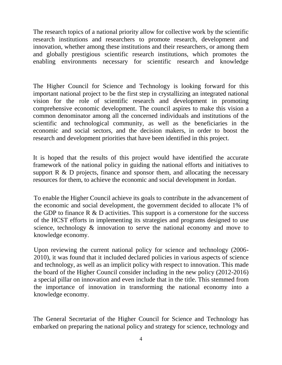The research topics of a national priority allow for collective work by the scientific research institutions and researchers to promote research, development and innovation, whether among these institutions and their researchers, or among them and globally prestigious scientific research institutions, which promotes the enabling environments necessary for scientific research and knowledge

The Higher Council for Science and Technology is looking forward for this important national project to be the first step in crystallizing an integrated national vision for the role of scientific research and development in promoting comprehensive economic development. The council aspires to make this vision a common denominator among all the concerned individuals and institutions of the scientific and technological community, as well as the beneficiaries in the economic and social sectors, and the decision makers, in order to boost the research and development priorities that have been identified in this project.

It is hoped that the results of this project would have identified the accurate framework of the national policy in guiding the national efforts and initiatives to support  $R \& D$  projects, finance and sponsor them, and allocating the necessary resources for them, to achieve the economic and social development in Jordan.

To enable the Higher Council achieve its goals to contribute in the advancement of the economic and social development, the government decided to allocate 1% of the GDP to finance  $R \& D$  activities. This support is a cornerstone for the success of the HCST efforts in implementing its strategies and programs designed to use science, technology  $\&$  innovation to serve the national economy and move to knowledge economy.

Upon reviewing the current national policy for science and technology (2006- 2010), it was found that it included declared policies in various aspects of science and technology, as well as an implicit policy with respect to innovation. This made the board of the Higher Council consider including in the new policy (2012-2016) a special pillar on innovation and even include that in the title. This stemmed from the importance of innovation in transforming the national economy into a knowledge economy.

The General Secretariat of the Higher Council for Science and Technology has embarked on preparing the national policy and strategy for science, technology and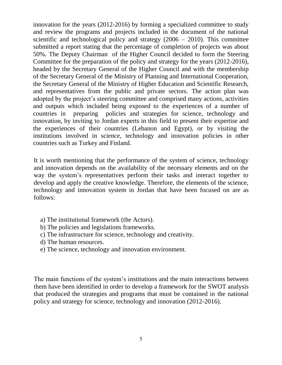innovation for the years (2012-2016) by forming a specialized committee to study and review the programs and projects included in the document of the national scientific and technological policy and strategy  $(2006 - 2010)$ . This committee submitted a report stating that the percentage of completion of projects was about 50%. The Deputy Chairman of the Higher Council decided to form the Steering Committee for the preparation of the policy and strategy for the years (2012-2016), headed by the Secretary General of the Higher Council and with the membership of the Secretary General of the Ministry of Planning and International Cooperation, the Secretary General of the Ministry of Higher Education and Scientific Research, and representatives from the public and private sectors. The action plan was adopted by the project's steering committee and comprised many actions, activities and outputs which included being exposed to the experiences of a number of countries in preparing policies and strategies for science, technology and innovation, by inviting to Jordan experts in this field to present their expertise and the experiences of their countries (Lebanon and Egypt), or by visiting the institutions involved in science, technology and innovation policies in other countries such as Turkey and Finland.

It is worth mentioning that the performance of the system of science, technology and innovation depends on the availability of the necessary elements and on the way the system's representatives perform their tasks and interact together to develop and apply the creative knowledge. Therefore, the elements of the science, technology and innovation system in Jordan that have been focused on are as follows:

- a) The institutional framework (the Actors).
- b) The policies and legislations frameworks.
- c) The infrastructure for science, technology and creativity.
- d) The human resources.
- e) The science, technology and innovation environment.

The main functions of the system's institutions and the main interactions between them have been identified in order to develop a framework for the SWOT analysis that produced the strategies and programs that must be contained in the national policy and strategy for science, technology and innovation (2012-2016).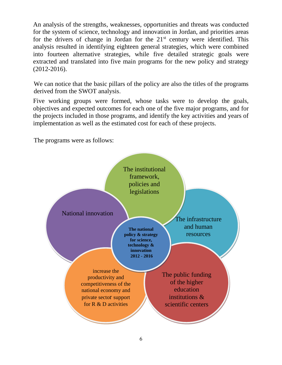An analysis of the strengths, weaknesses, opportunities and threats was conducted for the system of science, technology and innovation in Jordan, and priorities areas for the drivers of change in Jordan for the  $21<sup>st</sup>$  century were identified. This analysis resulted in identifying eighteen general strategies, which were combined into fourteen alternative strategies, while five detailed strategic goals were extracted and translated into five main programs for the new policy and strategy (2012-2016).

We can notice that the basic pillars of the policy are also the titles of the programs derived from the SWOT analysis.

Five working groups were formed, whose tasks were to develop the goals, objectives and expected outcomes for each one of the five major programs, and for the projects included in those programs, and identify the key activities and years of implementation as well as the estimated cost for each of these projects.

The programs were as follows:

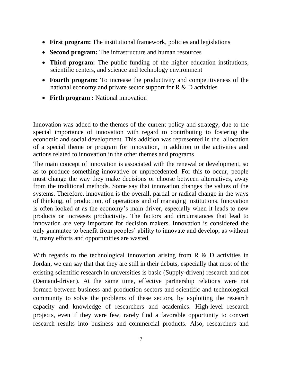- **First program:** The institutional framework, policies and legislations
- **Second program:** The infrastructure and human resources
- **Third program:** The public funding of the higher education institutions, scientific centers, and science and technology environment
- **Fourth program:** To increase the productivity and competitiveness of the national economy and private sector support for R & D activities
- **Firth program :** National innovation

Innovation was added to the themes of the current policy and strategy, due to the special importance of innovation with regard to contributing to fostering the economic and social development. This addition was represented in the allocation of a special theme or program for innovation, in addition to the activities and actions related to innovation in the other themes and programs

The main concept of innovation is associated with the renewal or development, so as to produce something innovative or unprecedented. For this to occur, people must change the way they make decisions or choose between alternatives, away from the traditional methods. Some say that innovation changes the values of the systems. Therefore, innovation is the overall, partial or radical change in the ways of thinking, of production, of operations and of managing institutions. Innovation is often looked at as the economy's main driver, especially when it leads to new products or increases productivity. The factors and circumstances that lead to innovation are very important for decision makers. Innovation is considered the only guarantee to benefit from peoples' ability to innovate and develop, as without it, many efforts and opportunities are wasted.

With regards to the technological innovation arising from  $R \& D$  activities in Jordan, we can say that that they are still in their debuts, especially that most of the existing scientific research in universities is basic (Supply-driven) research and not (Demand-driven). At the same time, effective partnership relations were not formed between business and production sectors and scientific and technological community to solve the problems of these sectors, by exploiting the research capacity and knowledge of researchers and academics. High-level research projects, even if they were few, rarely find a favorable opportunity to convert research results into business and commercial products. Also, researchers and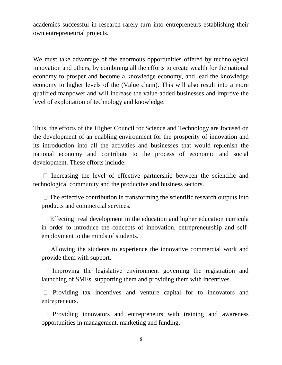academics successful in research rarely turn into entrepreneurs establishing their own entrepreneurial projects.

We must take advantage of the enormous opportunities offered by technological innovation and others, by combining all the efforts to create wealth for the national economy to prosper and become a knowledge economy, and lead the knowledge economy to higher levels of the (Value chain). This will also result into a more qualified manpower and will increase the value-added businesses and improve the level of exploitation of technology and knowledge.

Thus, the efforts of the Higher Council for Science and Technology are focused on the development of an enabling environment for the prosperity of innovation and its introduction into all the activities and businesses that would replenish the national economy and contribute to the process of economic and social development. These efforts include:

 $\Box$  Increasing the level of effective partnership between the scientific and technological community and the productive and business sectors.

 $\Box$  The effective contribution in transforming the scientific research outputs into products and commercial services.

 $\Box$  Effecting real development in the education and higher education curricula in order to introduce the concepts of innovation, entrepreneurship and selfemployment to the minds of students.

 $\Box$  Allowing the students to experience the innovative commercial work and provide them with support.

 $\Box$  Improving the legislative environment governing the registration and launching of SMEs, supporting them and providing them with incentives.

 $\Box$  Providing tax incentives and venture capital for to innovators and entrepreneurs.

 $\Box$  Providing innovators and entrepreneurs with training and awareness opportunities in management, marketing and funding.

8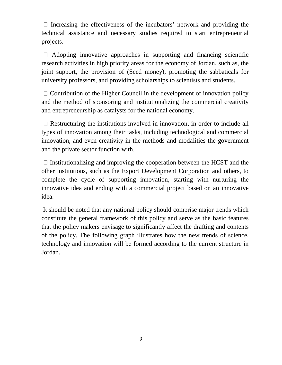$\Box$  Increasing the effectiveness of the incubators' network and providing the technical assistance and necessary studies required to start entrepreneurial projects.

 $\Box$  Adopting innovative approaches in supporting and financing scientific research activities in high priority areas for the economy of Jordan, such as, the joint support, the provision of (Seed money), promoting the sabbaticals for university professors, and providing scholarships to scientists and students.

 $\Box$  Contribution of the Higher Council in the development of innovation policy and the method of sponsoring and institutionalizing the commercial creativity and entrepreneurship as catalysts for the national economy.

 $\Box$  Restructuring the institutions involved in innovation, in order to include all types of innovation among their tasks, including technological and commercial innovation, and even creativity in the methods and modalities the government and the private sector function with.

 $\Box$  Institutionalizing and improving the cooperation between the HCST and the other institutions, such as the Export Development Corporation and others, to complete the cycle of supporting innovation, starting with nurturing the innovative idea and ending with a commercial project based on an innovative idea.

It should be noted that any national policy should comprise major trends which constitute the general framework of this policy and serve as the basic features that the policy makers envisage to significantly affect the drafting and contents of the policy. The following graph illustrates how the new trends of science, technology and innovation will be formed according to the current structure in Jordan.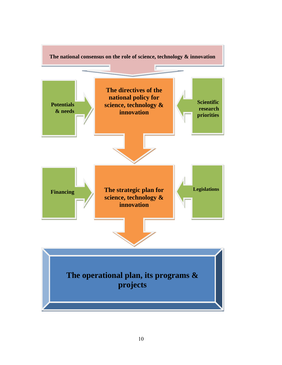